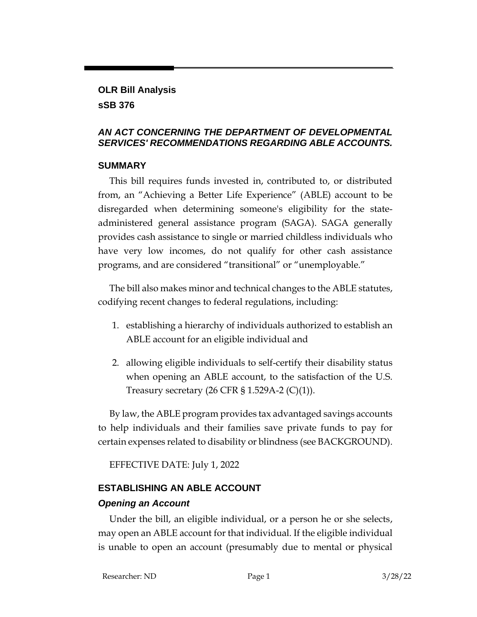## **OLR Bill Analysis**

### **sSB 376**

#### *AN ACT CONCERNING THE DEPARTMENT OF DEVELOPMENTAL SERVICES' RECOMMENDATIONS REGARDING ABLE ACCOUNTS.*

### **SUMMARY**

This bill requires funds invested in, contributed to, or distributed from, an "Achieving a Better Life Experience" (ABLE) account to be disregarded when determining someone's eligibility for the stateadministered general assistance program (SAGA). SAGA generally provides cash assistance to single or married childless individuals who have very low incomes, do not qualify for other cash assistance programs, and are considered "transitional" or "unemployable."

The bill also makes minor and technical changes to the ABLE statutes, codifying recent changes to federal regulations, including:

- 1. establishing a hierarchy of individuals authorized to establish an ABLE account for an eligible individual and
- 2. allowing eligible individuals to self-certify their disability status when opening an ABLE account, to the satisfaction of the U.S. Treasury secretary  $(26 \text{ CFR } $ 1.529 \text{A-2 } (\text{C})(1)).$

By law, the ABLE program provides tax advantaged savings accounts to help individuals and their families save private funds to pay for certain expenses related to disability or blindness (see BACKGROUND).

EFFECTIVE DATE: July 1, 2022

## **ESTABLISHING AN ABLE ACCOUNT**

## *Opening an Account*

Under the bill, an eligible individual, or a person he or she selects, may open an ABLE account for that individual. If the eligible individual is unable to open an account (presumably due to mental or physical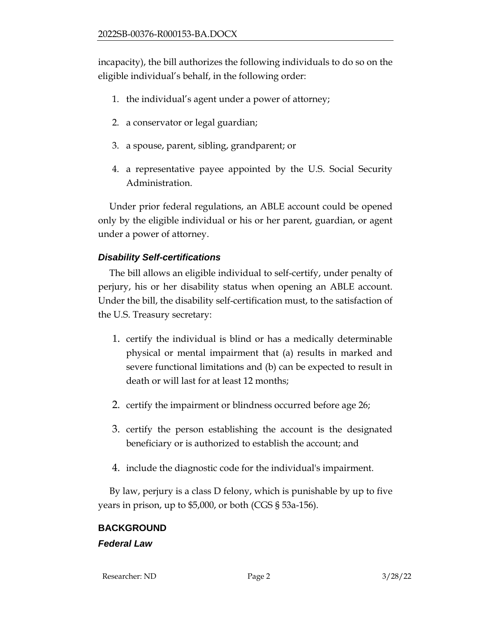incapacity), the bill authorizes the following individuals to do so on the eligible individual's behalf, in the following order:

- 1. the individual's agent under a power of attorney;
- 2. a conservator or legal guardian;
- 3. a spouse, parent, sibling, grandparent; or
- 4. a representative payee appointed by the U.S. Social Security Administration.

Under prior federal regulations, an ABLE account could be opened only by the eligible individual or his or her parent, guardian, or agent under a power of attorney.

## *Disability Self-certifications*

The bill allows an eligible individual to self-certify, under penalty of perjury, his or her disability status when opening an ABLE account. Under the bill, the disability self-certification must, to the satisfaction of the U.S. Treasury secretary:

- 1. certify the individual is blind or has a medically determinable physical or mental impairment that (a) results in marked and severe functional limitations and (b) can be expected to result in death or will last for at least 12 months;
- 2. certify the impairment or blindness occurred before age 26;
- 3. certify the person establishing the account is the designated beneficiary or is authorized to establish the account; and
- 4. include the diagnostic code for the individual's impairment.

By law, perjury is a class D felony, which is punishable by up to five years in prison, up to \$5,000, or both (CGS § 53a-156).

# **BACKGROUND**

#### *Federal Law*